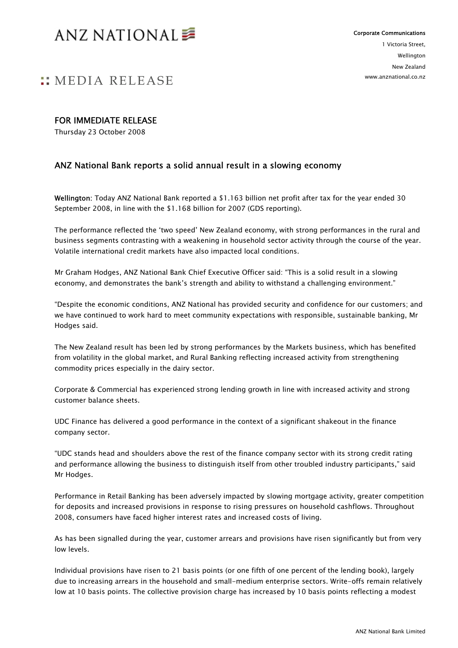

## **WEDIA RELEASE**

#### FOR IMMEDIATE RELEASE

Thursday 23 October 2008

### ANZ National Bank reports a solid annual result in a slowing economy

Wellington: Today ANZ National Bank reported a \$1.163 billion net profit after tax for the year ended 30 September 2008, in line with the \$1.168 billion for 2007 (GDS reporting).

The performance reflected the 'two speed' New Zealand economy, with strong performances in the rural and business segments contrasting with a weakening in household sector activity through the course of the year. Volatile international credit markets have also impacted local conditions.

Mr Graham Hodges, ANZ National Bank Chief Executive Officer said: "This is a solid result in a slowing economy, and demonstrates the bank's strength and ability to withstand a challenging environment."

"Despite the economic conditions, ANZ National has provided security and confidence for our customers; and we have continued to work hard to meet community expectations with responsible, sustainable banking, Mr Hodges said.

The New Zealand result has been led by strong performances by the Markets business, which has benefited from volatility in the global market, and Rural Banking reflecting increased activity from strengthening commodity prices especially in the dairy sector.

Corporate & Commercial has experienced strong lending growth in line with increased activity and strong customer balance sheets.

UDC Finance has delivered a good performance in the context of a significant shakeout in the finance company sector.

"UDC stands head and shoulders above the rest of the finance company sector with its strong credit rating and performance allowing the business to distinguish itself from other troubled industry participants," said Mr Hodges.

Performance in Retail Banking has been adversely impacted by slowing mortgage activity, greater competition for deposits and increased provisions in response to rising pressures on household cashflows. Throughout 2008, consumers have faced higher interest rates and increased costs of living.

As has been signalled during the year, customer arrears and provisions have risen significantly but from very low levels.

Individual provisions have risen to 21 basis points (or one fifth of one percent of the lending book), largely due to increasing arrears in the household and small-medium enterprise sectors. Write-offs remain relatively low at 10 basis points. The collective provision charge has increased by 10 basis points reflecting a modest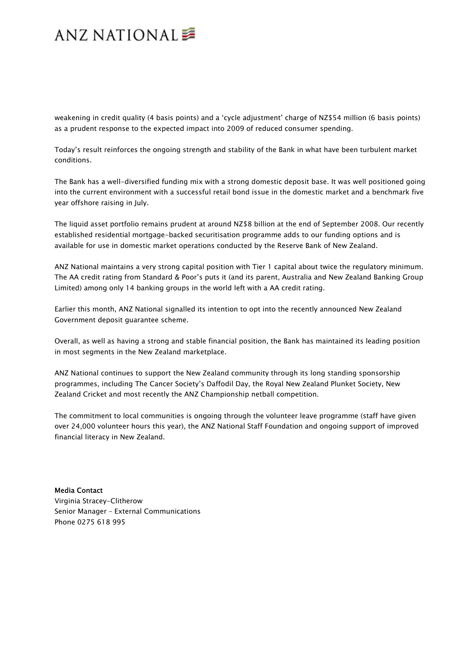## ANZ NATIONAL<sup>■</sup>

weakening in credit quality (4 basis points) and a 'cycle adjustment' charge of NZ\$54 million (6 basis points) as a prudent response to the expected impact into 2009 of reduced consumer spending.

Today's result reinforces the ongoing strength and stability of the Bank in what have been turbulent market conditions.

The Bank has a well-diversified funding mix with a strong domestic deposit base. It was well positioned going into the current environment with a successful retail bond issue in the domestic market and a benchmark five year offshore raising in July.

The liquid asset portfolio remains prudent at around NZ\$8 billion at the end of September 2008. Our recently established residential mortgage-backed securitisation programme adds to our funding options and is available for use in domestic market operations conducted by the Reserve Bank of New Zealand.

ANZ National maintains a very strong capital position with Tier 1 capital about twice the regulatory minimum. The AA credit rating from Standard & Poor's puts it (and its parent, Australia and New Zealand Banking Group Limited) among only 14 banking groups in the world left with a AA credit rating.

Earlier this month, ANZ National signalled its intention to opt into the recently announced New Zealand Government deposit guarantee scheme.

Overall, as well as having a strong and stable financial position, the Bank has maintained its leading position in most segments in the New Zealand marketplace.

ANZ National continues to support the New Zealand community through its long standing sponsorship programmes, including The Cancer Society's Daffodil Day, the Royal New Zealand Plunket Society, New Zealand Cricket and most recently the ANZ Championship netball competition.

The commitment to local communities is ongoing through the volunteer leave programme (staff have given over 24,000 volunteer hours this year), the ANZ National Staff Foundation and ongoing support of improved financial literacy in New Zealand.

#### Media Contact

Virginia Stracey-Clitherow Senior Manager – External Communications Phone 0275 618 995